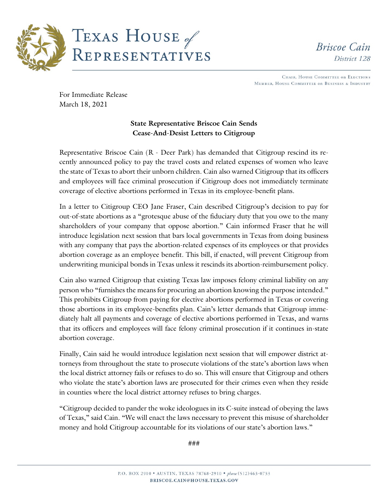

**Briscoe** Cain District 128

CHAIR, HOUSE COMMITTEE ON ELECTIONS MEMBER, HOUSE COMMITTEE ON BUSINESS & INDUSTRY

For Immediate Release March 18, 2021

# **State Representative Briscoe Cain Sends Cease-And-Desist Letters to Citigroup**

Representative Briscoe Cain (R - Deer Park) has demanded that Citigroup rescind its recently announced policy to pay the travel costs and related expenses of women who leave the state of Texas to abort their unborn children. Cain also warned Citigroup that its officers and employees will face criminal prosecution if Citigroup does not immediately terminate coverage of elective abortions performed in Texas in its employee-benefit plans.

In a letter to Citigroup CEO Jane Fraser, Cain described Citigroup's decision to pay for out-of-state abortions as a "grotesque abuse of the fiduciary duty that you owe to the many shareholders of your company that oppose abortion." Cain informed Fraser that he will introduce legislation next session that bars local governments in Texas from doing business with any company that pays the abortion-related expenses of its employees or that provides abortion coverage as an employee benefit. This bill, if enacted, will prevent Citigroup from underwriting municipal bonds in Texas unless it rescinds its abortion-reimbursement policy.

Cain also warned Citigroup that existing Texas law imposes felony criminal liability on any person who "furnishes the means for procuring an abortion knowing the purpose intended." This prohibits Citigroup from paying for elective abortions performed in Texas or covering those abortions in its employee-benefits plan. Cain's letter demands that Citigroup immediately halt all payments and coverage of elective abortions performed in Texas, and warns that its officers and employees will face felony criminal prosecution if it continues in-state abortion coverage.

Finally, Cain said he would introduce legislation next session that will empower district attorneys from throughout the state to prosecute violations of the state's abortion laws when the local district attorney fails or refuses to do so. This will ensure that Citigroup and others who violate the state's abortion laws are prosecuted for their crimes even when they reside in counties where the local district attorney refuses to bring charges.

"Citigroup decided to pander the woke ideologues in its C-suite instead of obeying the laws of Texas," said Cain. "We will enact the laws necessary to prevent this misuse of shareholder money and hold Citigroup accountable for its violations of our state's abortion laws."

###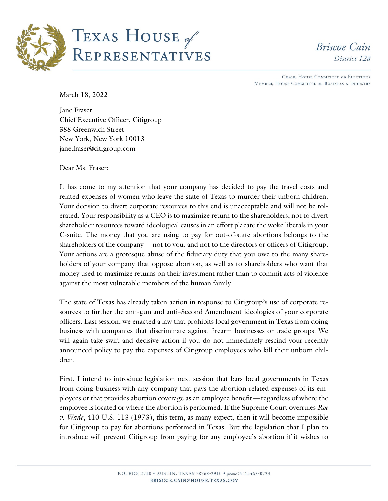

# TEXAS HOUSE of REPRESENTATIVES

**Briscoe Cain** District 128

CHAIR, HOUSE COMMITTEE ON ELECTIONS MEMBER, HOUSE COMMITTEE ON BUSINESS & INDUSTRY

March 18, 2022

Jane Fraser Chief Executive Officer, Citigroup 388 Greenwich Street New York, New York 10013 jane.fraser@citigroup.com

Dear Ms. Fraser:

It has come to my attention that your company has decided to pay the travel costs and related expenses of women who leave the state of Texas to murder their unborn children. Your decision to divert corporate resources to this end is unacceptable and will not be tolerated. Your responsibility as a CEO is to maximize return to the shareholders, not to divert shareholder resources toward ideological causes in an effort placate the woke liberals in your C-suite. The money that you are using to pay for out-of-state abortions belongs to the shareholders of the company—not to you, and not to the directors or officers of Citigroup. Your actions are a grotesque abuse of the fiduciary duty that you owe to the many shareholders of your company that oppose abortion, as well as to shareholders who want that money used to maximize returns on their investment rather than to commit acts of violence against the most vulnerable members of the human family.

The state of Texas has already taken action in response to Citigroup's use of corporate resources to further the anti-gun and anti–Second Amendment ideologies of your corporate officers. Last session, we enacted a law that prohibits local government in Texas from doing business with companies that discriminate against firearm businesses or trade groups. We will again take swift and decisive action if you do not immediately rescind your recently announced policy to pay the expenses of Citigroup employees who kill their unborn children.

First. I intend to introduce legislation next session that bars local governments in Texas from doing business with any company that pays the abortion-related expenses of its employees or that provides abortion coverage as an employee benefit—regardless of where the employee is located or where the abortion is performed. If the Supreme Court overrules *Roe v. Wade*, 410 U.S. 113 (1973), this term, as many expect, then it will become impossible for Citigroup to pay for abortions performed in Texas. But the legislation that I plan to introduce will prevent Citigroup from paying for any employee's abortion if it wishes to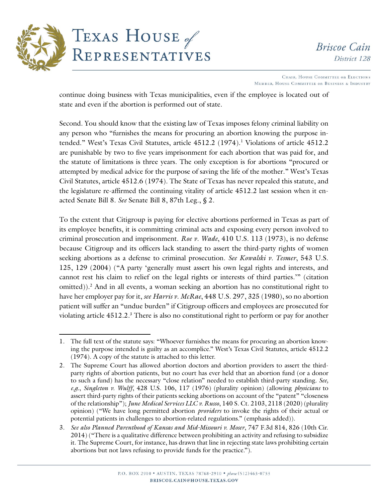

CHAIR, HOUSE COMMITTEE ON ELECTIONS MEMBER, HOUSE COMMITTEE ON BUSINESS & INDUSTRY

continue doing business with Texas municipalities, even if the employee is located out of state and even if the abortion is performed out of state.

Second. You should know that the existing law of Texas imposes felony criminal liability on any person who "furnishes the means for procuring an abortion knowing the purpose intended." West's Texas Civil Statutes, article 4512.2 (1974).<sup>1</sup> Violations of article 4512.2 are punishable by two to five years imprisonment for each abortion that was paid for, and the statute of limitations is three years. The only exception is for abortions "procured or attempted by medical advice for the purpose of saving the life of the mother." West's Texas Civil Statutes, article 4512.6 (1974). The State of Texas has never repealed this statute, and the legislature re-affirmed the continuing vitality of article 4512.2 last session when it enacted Senate Bill 8. *See* Senate Bill 8, 87th Leg., § 2.

To the extent that Citigroup is paying for elective abortions performed in Texas as part of its employee benefits, it is committing criminal acts and exposing every person involved to criminal prosecution and imprisonment. *Roe v. Wade*, 410 U.S. 113 (1973), is no defense because Citigroup and its officers lack standing to assert the third-party rights of women seeking abortions as a defense to criminal prosecution. *See Kowalski v. Tesmer*, 543 U.S. 125, 129 (2004) ("A party 'generally must assert his own legal rights and interests, and cannot rest his claim to relief on the legal rights or interests of third parties.'" (citation omitted)).<sup>2</sup> And in all events, a woman seeking an abortion has no constitutional right to have her employer pay for it, *see Harris v. McRae*, 448 U.S. 297, 325 (1980), so no abortion patient will suffer an "undue burden" if Citigroup officers and employees are prosecuted for violating article 4512.2.3 There is also no constitutional right to perform or pay for another

<sup>1.</sup> The full text of the statute says: "Whoever furnishes the means for procuring an abortion knowing the purpose intended is guilty as an accomplice." West's Texas Civil Statutes, article 4512.2 (1974). A copy of the statute is attached to this letter.

<sup>2.</sup> The Supreme Court has allowed abortion doctors and abortion providers to assert the thirdparty rights of abortion patients, but no court has ever held that an abortion fund (or a donor to such a fund) has the necessary "close relation" needed to establish third-party standing. *See, e.g.*, *Singleton v. Wulff*, 428 U.S. 106, 117 (1976) (plurality opinion) (allowing *physicians* to assert third-party rights of their patients seeking abortions on account of the "patent" "closeness of the relationship"); *June Medical Services LLC v. Russo*, 140 S. Ct. 2103, 2118 (2020) (plurality opinion) ("We have long permitted abortion *providers* to invoke the rights of their actual or potential patients in challenges to abortion-related regulations." (emphasis added)).

<sup>3.</sup> *See also Planned Parenthood of Kansas and Mid-Missouri v. Moser*, 747 F.3d 814, 826 (10th Cir. 2014) ("There is a qualitative difference between prohibiting an activity and refusing to subsidize it. The Supreme Court, for instance, has drawn that line in rejecting state laws prohibiting certain abortions but not laws refusing to provide funds for the practice.").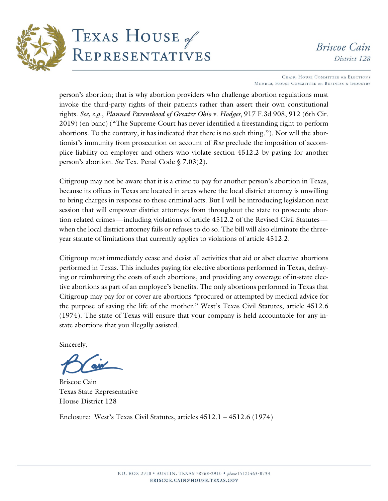

CHAIR, HOUSE COMMITTEE ON ELECTIONS MEMBER, HOUSE COMMITTEE ON BUSINESS & INDUSTRY

person's abortion; that is why abortion providers who challenge abortion regulations must invoke the third-party rights of their patients rather than assert their own constitutional rights. *See, e.g.*, *Planned Parenthood of Greater Ohio v. Hodges*, 917 F.3d 908, 912 (6th Cir. 2019) (en banc) ("The Supreme Court has never identified a freestanding right to perform abortions. To the contrary, it has indicated that there is no such thing."). Nor will the abortionist's immunity from prosecution on account of *Roe* preclude the imposition of accomplice liability on employer and others who violate section 4512.2 by paying for another person's abortion. *See* Tex. Penal Code § 7.03(2).

Citigroup may not be aware that it is a crime to pay for another person's abortion in Texas, because its offices in Texas are located in areas where the local district attorney is unwilling to bring charges in response to these criminal acts. But I will be introducing legislation next session that will empower district attorneys from throughout the state to prosecute abortion-related crimes—including violations of article 4512.2 of the Revised Civil Statutes when the local district attorney fails or refuses to do so. The bill will also eliminate the threeyear statute of limitations that currently applies to violations of article 4512.2.

Citigroup must immediately cease and desist all activities that aid or abet elective abortions performed in Texas. This includes paying for elective abortions performed in Texas, defraying or reimbursing the costs of such abortions, and providing any coverage of in-state elective abortions as part of an employee's benefits. The only abortions performed in Texas that Citigroup may pay for or cover are abortions "procured or attempted by medical advice for the purpose of saving the life of the mother." West's Texas Civil Statutes, article 4512.6 (1974). The state of Texas will ensure that your company is held accountable for any instate abortions that you illegally assisted.

Sincerely,

Briscoe Cain Texas State Representative House District 128

Enclosure: West's Texas Civil Statutes, articles 4512.1 – 4512.6 (1974)